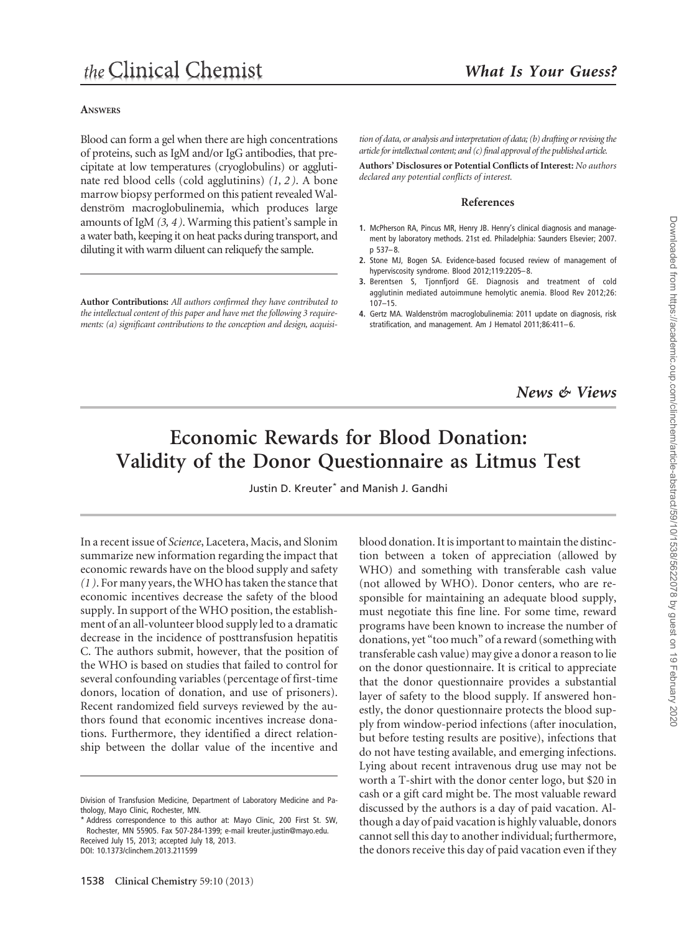## **ANSWERS**

Blood can form a gel when there are high concentrations of proteins, such as IgM and/or IgG antibodies, that precipitate at low temperatures (cryoglobulins) or agglutinate red blood cells (cold agglutinins) *(1, 2 )*. A bone marrow biopsy performed on this patient revealed Waldenström macroglobulinemia, which produces large amounts of IgM *(3, 4 )*. Warming this patient's sample in a water bath, keeping it on heat packs during transport, and diluting it with warm diluent can reliquefy the sample.

**Author Contributions:** *All authors confirmed they have contributed to the intellectual content of this paper and have met the following 3 requirements: (a) significant contributions to the conception and design, acquisi-* *tion of data, or analysis and interpretation of data; (b) drafting or revising the article for intellectual content; and (c) final approval of the published article.*

**Authors' Disclosures or Potential Conflicts of Interest:** *No authors declared any potential conflicts of interest.*

## **References**

- **1.** McPherson RA, Pincus MR, Henry JB. Henry's clinical diagnosis and management by laboratory methods. 21st ed. Philadelphia: Saunders Elsevier; 2007. p 537–8.
- **2.** Stone MJ, Bogen SA. Evidence-based focused review of management of hyperviscosity syndrome. Blood 2012;119:2205–8.
- **3.** Berentsen S, Tjonnfjord GE. Diagnosis and treatment of cold agglutinin mediated autoimmune hemolytic anemia. Blood Rev 2012;26: 107–15.
- **4.** Gertz MA. Waldenström macroglobulinemia: 2011 update on diagnosis, risk stratification, and management. Am J Hematol 2011;86:411–6.

*News & Views*

## **Economic Rewards for Blood Donation: Validity of the Donor Questionnaire as Litmus Test**

Justin D. Kreuter\* and Manish J. Gandhi

In a recent issue of *Science*, Lacetera, Macis, and Slonim summarize new information regarding the impact that economic rewards have on the blood supply and safety *(1 )*. For many years, theWHO has taken the stance that economic incentives decrease the safety of the blood supply. In support of the WHO position, the establishment of an all-volunteer blood supply led to a dramatic decrease in the incidence of posttransfusion hepatitis C. The authors submit, however, that the position of the WHO is based on studies that failed to control for several confounding variables (percentage of first-time donors, location of donation, and use of prisoners). Recent randomized field surveys reviewed by the authors found that economic incentives increase donations. Furthermore, they identified a direct relationship between the dollar value of the incentive and blood donation. It is important to maintain the distinction between a token of appreciation (allowed by WHO) and something with transferable cash value (not allowed by WHO). Donor centers, who are responsible for maintaining an adequate blood supply, must negotiate this fine line. For some time, reward programs have been known to increase the number of donations, yet "too much" of a reward (something with transferable cash value) may give a donor a reason to lie on the donor questionnaire. It is critical to appreciate that the donor questionnaire provides a substantial layer of safety to the blood supply. If answered honestly, the donor questionnaire protects the blood supply from window-period infections (after inoculation, but before testing results are positive), infections that do not have testing available, and emerging infections. Lying about recent intravenous drug use may not be worth a T-shirt with the donor center logo, but \$20 in cash or a gift card might be. The most valuable reward discussed by the authors is a day of paid vacation. Although a day of paid vacation is highly valuable, donors cannot sell this day to another individual; furthermore, the donors receive this day of paid vacation even if they

Division of Transfusion Medicine, Department of Laboratory Medicine and Pathology, Mayo Clinic, Rochester, MN.

<sup>\*</sup> Address correspondence to this author at: Mayo Clinic, 200 First St. SW, Rochester, MN 55905. Fax 507-284-1399; e-mail kreuter.justin@mayo.edu. Received July 15, 2013; accepted July 18, 2013. DOI: 10.1373/clinchem.2013.211599